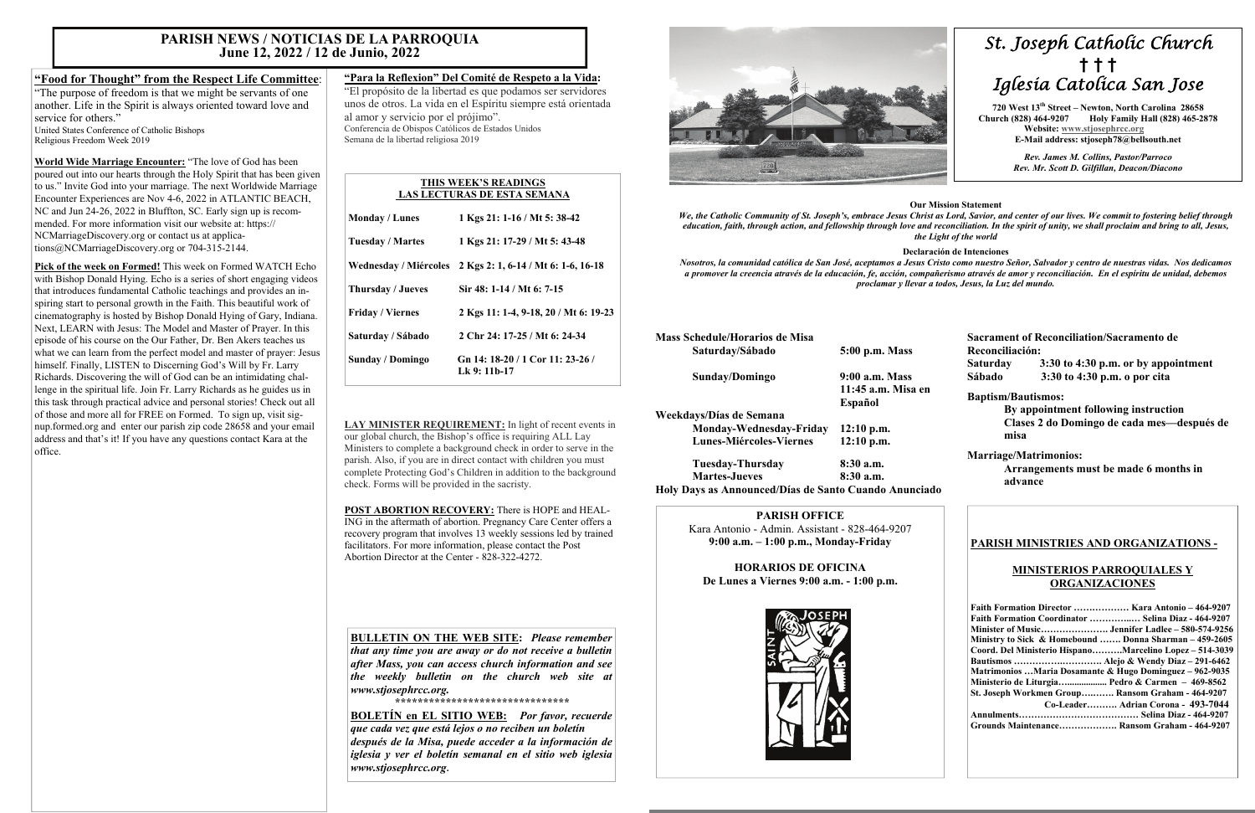# *St. Joseph Catholic Church*  **†****† †**  *Iglesia Catolica San Jose*

 **720 West 13th Street – Newton, North Carolina 28658 Church (828) 464-9207 Holy Family Hall (828) 465-2878 Website: [www.stjosephrcc.org](http://www.stjoseph4cc.org/) E-Mail address: stjoseph78@bellsouth.net** 

> *Rev. James M. Collins, Pastor/Parroco Rev. Mr. Scott D. Gilfillan, Deacon/Diacono*

#### **Our Mission Statement**

*We, the Catholic Community of St. Joseph's, embrace Jesus Christ as Lord, Savior, and center of our lives. We commit to fostering belief through nd reconciliation. In the spirit of unity, we shall proclaim and bring to all, Jesus, the Light of the world* 

#### **Declaración de Intenciones**

*Nosotros, la comunidad católica de San José, aceptamos a Jesus Cristo como nuestro Señor, Salvador y centro de nuestras vidas. Nos dedicamos a promover la creencia através de la educación, fe, acción, compañerismo através de amor y reconciliación. En el espíritu de unidad, debemos proclamar y llevar a todos, Jesus, la Luz del mundo.* 

| We, the Catholic Community of St. Joseph's, embrace Jesus Christ<br>education, faith, through action, and fellowship through love and | the L                                           |
|---------------------------------------------------------------------------------------------------------------------------------------|-------------------------------------------------|
| Nosotros, la comunidad católica de San José, aceptamos a Jesus C<br>a promover la creencia através de la educación, fe, acción, compa | Declara<br>proclamar y llevar a                 |
| <b>Mass Schedule/Horarios de Misa</b><br>Saturday/Sábado                                                                              | 5:00 p.m. Mass                                  |
| Sunday/Domingo                                                                                                                        | 9:00 a.m. Mass<br>11:45 a.m. Misa en<br>Español |
| Weekdays/Días de Semana<br>Monday-Wednesday-Friday<br>Lunes-Miércoles-Viernes                                                         | $12:10$ p.m.<br>$12:10$ p.m.                    |

 **Tuesday-Thursday 8:30 a.m. Martes-Jueves** 8:30 a.m. **Holy Days as Announced/Días de Santo Cuando Anunciado** 

**Sacrament of Reconciliation/Sacramento de Reconciliación: Saturday 3:30 to 4:30 p.m. or by appointment Sábado 3:30 to 4:30 p.m. o por cita** 

#### **Baptism/Bautismos:**

 **By appointment following instruction Clases 2 do Domingo de cada mes—después de misa** 

## **Marriage/Matrimonios:**

 **Arrangements must be made 6 months in advance** 

#### **PARISH OFFICE**

Kara Antonio - Admin. Assistant - 828-464-9207 **9:00 a.m. – 1:00 p.m., Monday-Friday** 

**HORARIOS DE OFICINA De Lunes a Viernes 9:00 a.m. - 1:00 p.m.** 



## **PARISH MINISTRIES AND ORGANIZATIONS -**

## **MINISTERIOS PARROQUIALES Y ORGANIZACIONES**

| Faith Formation Director  Kara Antonio - 464-9207       |
|---------------------------------------------------------|
| Faith Formation Coordinator  Selina Diaz - 464-9207     |
|                                                         |
| Ministry to Sick & Homebound  Donna Sharman – 459-2605  |
| Coord. Del Ministerio HispanoMarcelino Lopez – 514-3039 |
|                                                         |
| Matrimonios Maria Dosamante & Hugo Dominguez – 962-9035 |
| Ministerio de Liturgia Pedro & Carmen $-469-8562$       |
| St. Joseph Workmen Group Ransom Graham - 464-9207       |
| Co-Leader Adrian Corona - 493-7044                      |
|                                                         |
| Grounds Maintenance Ransom Graham - 464-9207            |

# **"Food for Thought" from the Respect Life Committee**:

"The purpose of freedom is that we might be servants of one another. Life in the Spirit is always oriented toward love and service for others."United States Conference of Catholic Bishops Religious Freedom Week 2019

**World Wide Marriage Encounter:** "The love of God has been poured out into our hearts through the Holy Spirit that has been given to us." Invite God into your marriage. The next Worldwide Marriage Encounter Experiences are Nov 4-6, 2022 in ATLANTIC BEACH, NC and Jun 24-26, 2022 in Bluffton, SC. Early sign up is recommended. For more information visit our website at: https:// NCMarriageDiscovery.org or contact us at applications@NCMarriageDiscovery.org or 704-315-2144.

**Pick of the week on Formed!** This week on Formed WATCH Echo with Bishop Donald Hying. Echo is a series of short engaging videos that introduces fundamental Catholic teachings and provides an inspiring start to personal growth in the Faith. This beautiful work of cinematography is hosted by Bishop Donald Hying of Gary, Indiana. Next, LEARN with Jesus: The Model and Master of Prayer. In this episode of his course on the Our Father, Dr. Ben Akers teaches us what we can learn from the perfect model and master of prayer: Jesus himself. Finally, LISTEN to Discerning God's Will by Fr. Larry Richards. Discovering the will of God can be an intimidating challenge in the spiritual life. Join Fr. Larry Richards as he guides us in this task through practical advice and personal stories! Check out all of those and more all for FREE on Formed. To sign up, visit signup.formed.org and enter our parish zip code 28658 and your email address and that's it! If you have any questions contact Kara at the office.

## **"Para la Reflexion" Del Comité de Respeto a la Vida:**

"El propósito de la libertad es que podamos ser servidores unos de otros. La vida en el Espíritu siempre está orientada al amor y servicio por el prójimo". Conferencia de Obispos Católicos de Estados Unidos Semana de la libertad religiosa 2019

**LAY MINISTER REQUIREMENT:** In light of recent events in our global church, the Bishop's office is requiring ALL Lay Ministers to complete a background check in order to serve in the parish. Also, if you are in direct contact with children you must complete Protecting God's Children in addition to the background check. Forms will be provided in the sacristy.

**POST ABORTION RECOVERY:** There is HOPE and HEAL-ING in the aftermath of abortion. Pregnancy Care Center offers a recovery program that involves 13 weekly sessions led by trained facilitators. For more information, please contact the Post Abortion Director at the Center - 828-322-4272.

# **PARISH NEWS / NOTICIAS DE LA PARROQUIA June 12, 2022 / 12 de Junio, 2022**

#### **THIS WEEK'S READINGS LAS LECTURAS DE ESTA SEMANA**

| <b>Monday / Lunes</b>   | 1 Kgs 21: 1-16 / Mt 5: 38-42                              |
|-------------------------|-----------------------------------------------------------|
| <b>Tuesday / Martes</b> | 1 Kgs 21: 17-29 / Mt 5: 43-48                             |
|                         | Wednesday / Miércoles 2 Kgs 2: 1, 6-14 / Mt 6: 1-6, 16-18 |
| Thursday / Jueves       | Sir 48: 1-14 / Mt 6: 7-15                                 |
| <b>Friday / Viernes</b> | 2 Kgs 11: 1-4, 9-18, 20 / Mt 6: 19-23                     |
| Saturday / Sábado       | 2 Chr 24: 17-25 / Mt 6: 24-34                             |
| Sunday / Domingo        | Gn 14: 18-20 / 1 Cor 11: 23-26 /<br>Lk 9: 11b-17          |

**BULLETIN ON THE WEB SITE:** *Please remember* 

*that any time you are away or do not receive a bulletin after Mass, you can access church information and see the weekly bulletin on the church web site at www.stjosephrcc.org.* 

*\*\*\*\*\*\*\*\*\*\*\*\*\*\*\*\*\*\*\*\*\*\*\*\*\*\*\*\*\*\*\** 

**BOLETÍN en EL SITIO WEB:** *Por favor, recuerde que cada vez que está lejos o no reciben un boletín después de la Misa, puede acceder a la información de iglesia y ver el boletín semanal en el sitio web iglesia www.stjosephrcc.org***.**